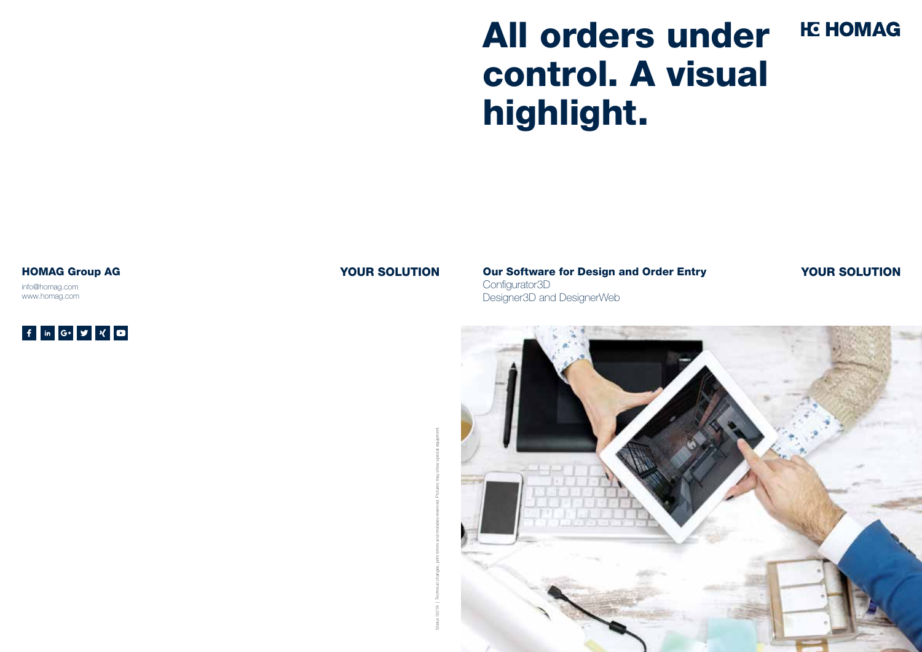Our Software for Design and Order Entry Configurator3D Designer3D and DesignerWeb



# All orders under **HE HOMAG** control. A visual highlight.

info@homag.com www.homag.com



#### HOMAG Group AG **YOUR SOLUTION**

Status 02/18 | Technical changes, print errors and mistakes reserved. Pictures may show special equipment.



### YOUR SOLUTION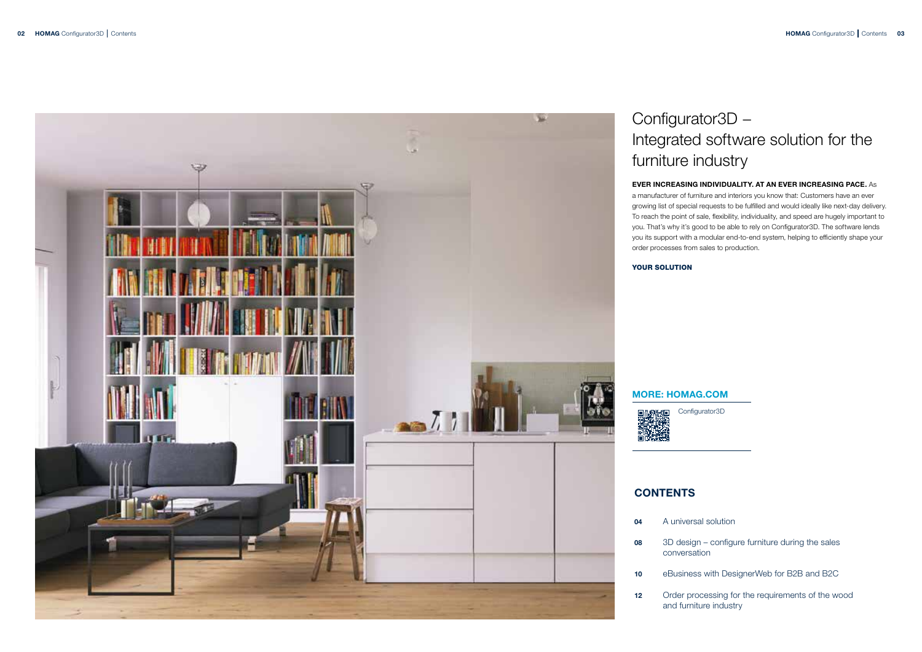

## Configurator3D – Integrated software solution for the furniture industry

#### EVER INCREASING INDIVIDUALITY. AT AN EVER INCREASING PACE. As

a manufacturer of furniture and interiors you know that: Customers have an ever growing list of special requests to be fulfilled and would ideally like next-day delivery. To reach the point of sale, flexibility, individuality, and speed are hugely important to you. That's why it's good to be able to rely on Configurator3D. The software lends you its support with a modular end-to-end system, helping to efficiently shape your order processes from sales to production.

YOUR SOLUTION

#### MORE: HOMAG.COM

同次数没向

### **CONTENTS**

| 04 | A univers              |
|----|------------------------|
| 08 | 3D desig<br>conversa   |
| 10 | eBusines               |
| 12 | Order pro<br>and furni |

Configurator3D

sal solution

gn – configure furniture during the sales ation

ss with DesignerWeb for B2B and B2C

rocessing for the requirements of the wood iture industry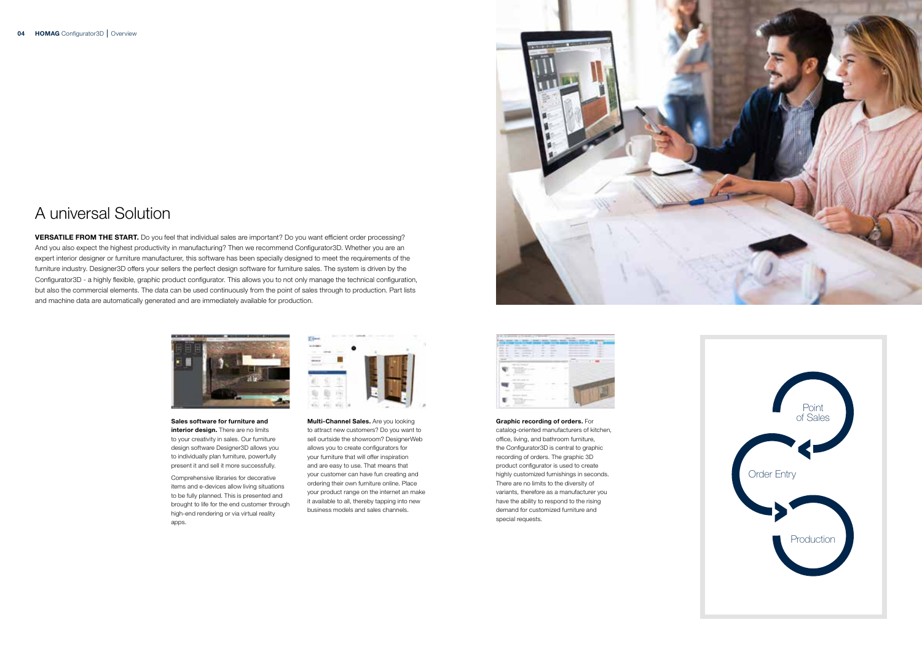Graphic recording of orders. For catalog-oriented manufacturers of kitchen, office, living, and bathroom furniture, the Configurator3D is central to graphic recording of orders. The graphic 3D product configurator is used to create highly customized furnishings in seconds. There are no limits to the diversity of variants, therefore as a manufacturer you have the ability to respond to the rising

demand for customized furniture and

special requests.

### A universal Solution

**Multi-Channel Sales.** Are you looking to attract new customers? Do you want to sell ourtside the showroom? DesignerWeb allows you to create configurators for your furniture that will offer inspiration and are easy to use. That means that your customer can have fun creating and ordering their own furniture online. Place your product range on the internet an make it available to all, thereby tapping into new business models and sales channels.





VERSATILE FROM THE START. Do you feel that individual sales are important? Do you want efficient order processing? And you also expect the highest productivity in manufacturing? Then we recommend Configurator3D. Whether you are an expert interior designer or furniture manufacturer, this software has been specially designed to meet the requirements of the furniture industry. Designer3D offers your sellers the perfect design software for furniture sales. The system is driven by the Configurator3D - a highly flexible, graphic product configurator. This allows you to not only manage the technical configuration, but also the commercial elements. The data can be used continuously from the point of sales through to production. Part lists and machine data are automatically generated and are immediately available for production.



Sales software for furniture and interior design. There are no limits to your creativity in sales. Our furniture design software Designer3D allows you to individually plan furniture, powerfully present it and sell it more successfully.

Comprehensive libraries for decorative items and e-devices allow living situations to be fully planned. This is presented and brought to life for the end customer through high-end rendering or via virtual reality apps.



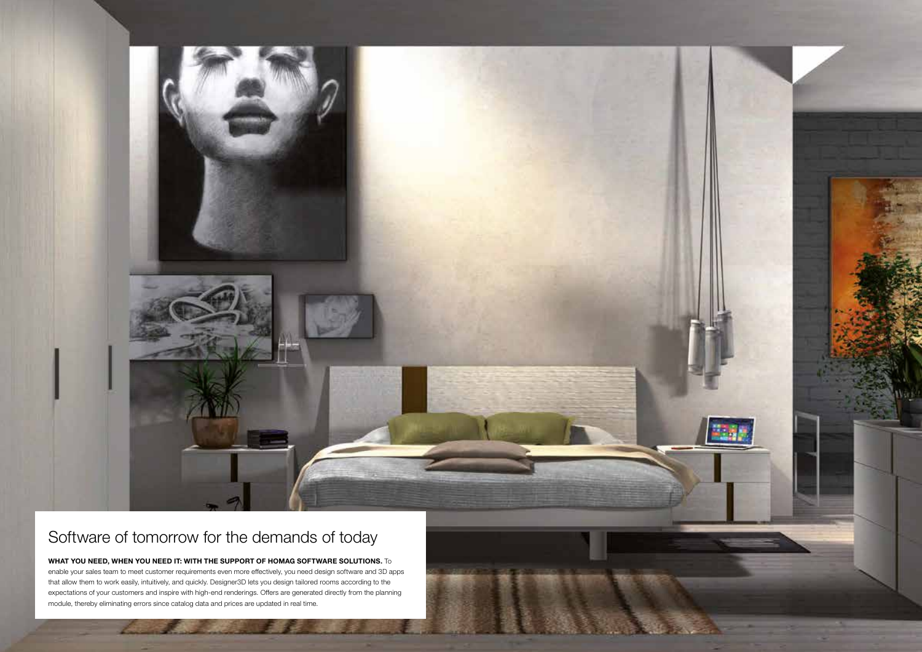### Software of tomorrow for the demands of today

#### WHAT YOU NEED, WHEN YOU NEED IT: WITH THE SUPPORT OF HOMAG SOFTWARE SOLUTIONS. To

enable your sales team to meet customer requirements even more effectively, you need design software and 3D apps that allow them to work easily, intuitively, and quickly. Designer3D lets you design tailored rooms according to the expectations of your customers and inspire with high-end renderings. Offers are generated directly from the planning module, thereby eliminating errors since catalog data and prices are updated in real time.

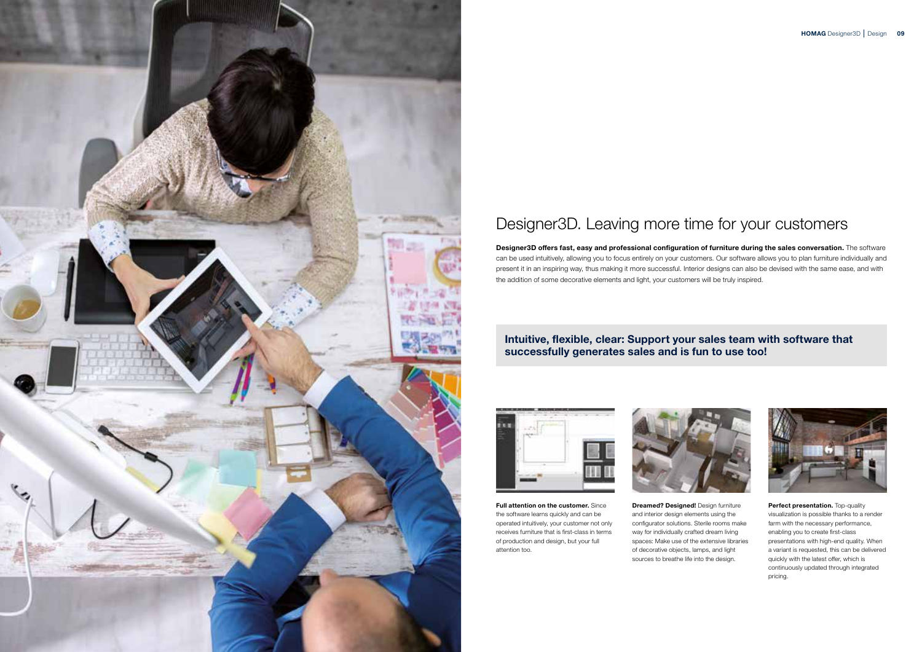

## Designer3D. Leaving more time for your customers

Designer3D offers fast, easy and professional configuration of furniture during the sales conversation. The software can be used intuitively, allowing you to focus entirely on your customers. Our software allows you to plan furniture individually and present it in an inspiring way, thus making it more successful. Interior designs can also be devised with the same ease, and with the addition of some decorative elements and light, your customers will be truly inspired.



**Dreamed? Designed!** Design furniture and interior design elements using the configurator solutions. Sterile rooms make way for individually crafted dream living spaces: Make use of the extensive libraries of decorative objects, lamps, and light sources to breathe life into the design.





Perfect presentation. Top-quality visualization is possible thanks to a render farm with the necessary performance, enabling you to create first-class presentations with high-end quality. When a variant is requested, this can be delivered quickly with the latest offer, which is continuously updated through integrated pricing.

### Intuitive, flexible, clear: Support your sales team with software that successfully generates sales and is fun to use too!

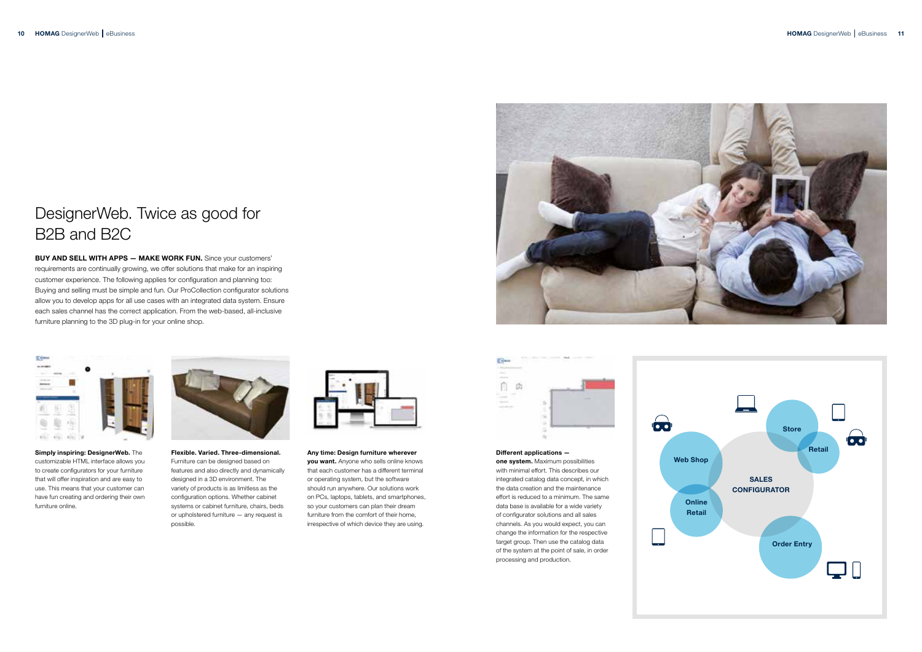Different applications one system. Maximum possibilities with minimal effort. This describes our integrated catalog data concept, in which the data creation and the maintenance effort is reduced to a minimum. The same data base is available for a wide variety of configurator solutions and all sales channels. As you would expect, you can change the information for the respective target group. Then use the catalog data of the system at the point of sale, in order processing and production.

Simply inspiring: DesignerWeb. The customizable HTML interface allows you to create configurators for your furniture that will offer inspiration and are easy to use. This means that your customer can have fun creating and ordering their own furniture online.



Flexible. Varied. Three-dimensional. Furniture can be designed based on features and also directly and dynamically designed in a 3D environment. The variety of products is as limitless as the configuration options. Whether cabinet systems or cabinet furniture, chairs, beds or upholstered furniture — any request is possible.



Any time: Design furniture wherever you want. Anyone who sells online knows that each customer has a different terminal or operating system, but the software should run anywhere. Our solutions work on PCs, laptops, tablets, and smartphones, so your customers can plan their dream furniture from the comfort of their home, irrespective of which device they are using.





## DesignerWeb. Twice as good for B2B and B2C

BUY AND SELL WITH APPS — MAKE WORK FUN. Since your customers' requirements are continually growing, we offer solutions that make for an inspiring customer experience. The following applies for configuration and planning too: Buying and selling must be simple and fun. Our ProCollection configurator solutions allow you to develop apps for all use cases with an integrated data system. Ensure each sales channel has the correct application. From the web-based, all-inclusive furniture planning to the 3D plug-in for your online shop.



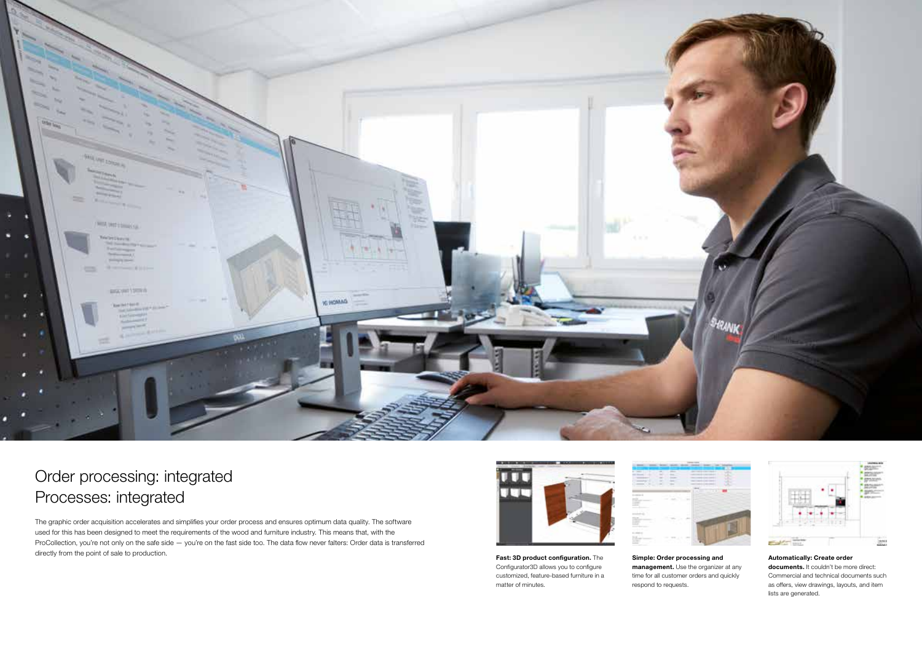

Fast: 3D product configuration. The Configurator3D allows you to configure customized, feature-based furniture in a matter of minutes.

Simple: Order processing and management. Use the organizer at any time for all customer orders and quickly respond to requests.



documents. It couldn't be more direct: Commercial and technical documents such as offers, view drawings, layouts, and item lists are generated.

#### Automatically: Create order



### Order processing: integrated Processes: integrated

The graphic order acquisition accelerates and simplifies your order process and ensures optimum data quality. The software used for this has been designed to meet the requirements of the wood and furniture industry. This means that, with the ProCollection, you're not only on the safe side — you're on the fast side too. The data flow never falters: Order data is transferred directly from the point of sale to production.